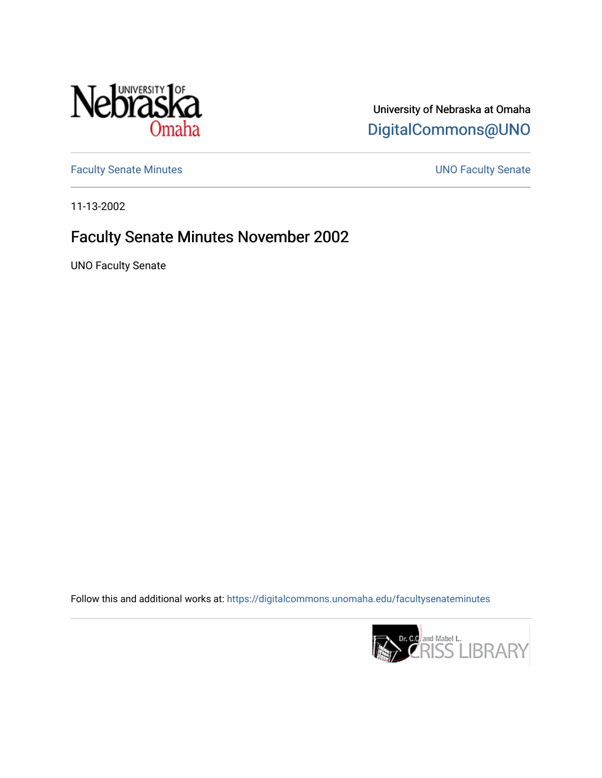

University of Nebraska at Omaha [DigitalCommons@UNO](https://digitalcommons.unomaha.edu/) 

[Faculty Senate Minutes](https://digitalcommons.unomaha.edu/facultysenateminutes) **Exercise Senate UNO Faculty Senate** 

11-13-2002

# Faculty Senate Minutes November 2002

UNO Faculty Senate

Follow this and additional works at: [https://digitalcommons.unomaha.edu/facultysenateminutes](https://digitalcommons.unomaha.edu/facultysenateminutes?utm_source=digitalcommons.unomaha.edu%2Ffacultysenateminutes%2F97&utm_medium=PDF&utm_campaign=PDFCoverPages) 

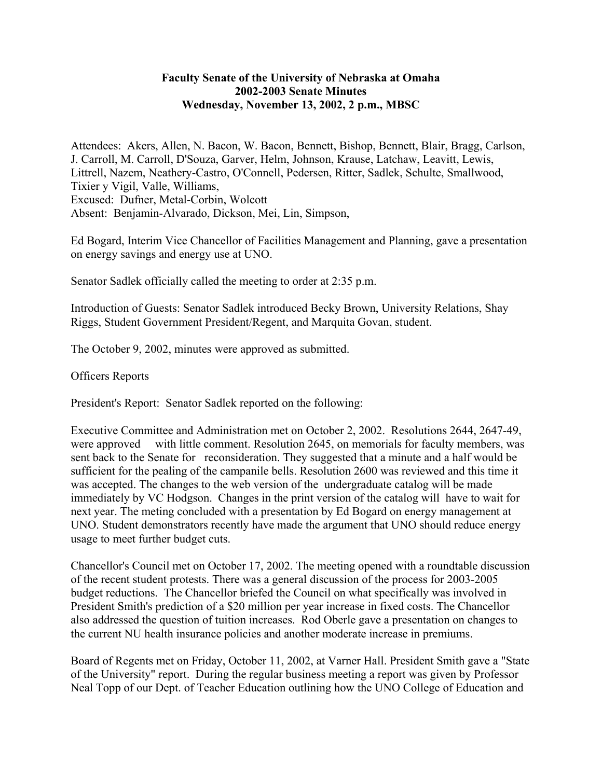## **Faculty Senate of the University of Nebraska at Omaha 2002-2003 Senate Minutes Wednesday, November 13, 2002, 2 p.m., MBSC**

Attendees: Akers, Allen, N. Bacon, W. Bacon, Bennett, Bishop, Bennett, Blair, Bragg, Carlson, J. Carroll, M. Carroll, D'Souza, Garver, Helm, Johnson, Krause, Latchaw, Leavitt, Lewis, Littrell, Nazem, Neathery-Castro, O'Connell, Pedersen, Ritter, Sadlek, Schulte, Smallwood, Tixier y Vigil, Valle, Williams, Excused: Dufner, Metal-Corbin, Wolcott Absent: Benjamin-Alvarado, Dickson, Mei, Lin, Simpson,

Ed Bogard, Interim Vice Chancellor of Facilities Management and Planning, gave a presentation on energy savings and energy use at UNO.

Senator Sadlek officially called the meeting to order at 2:35 p.m.

Introduction of Guests: Senator Sadlek introduced Becky Brown, University Relations, Shay Riggs, Student Government President/Regent, and Marquita Govan, student.

The October 9, 2002, minutes were approved as submitted.

Officers Reports

President's Report: Senator Sadlek reported on the following:

Executive Committee and Administration met on October 2, 2002. Resolutions 2644, 2647-49, were approved with little comment. Resolution 2645, on memorials for faculty members, was sent back to the Senate for reconsideration. They suggested that a minute and a half would be sufficient for the pealing of the campanile bells. Resolution 2600 was reviewed and this time it was accepted. The changes to the web version of the undergraduate catalog will be made immediately by VC Hodgson. Changes in the print version of the catalog will have to wait for next year. The meting concluded with a presentation by Ed Bogard on energy management at UNO. Student demonstrators recently have made the argument that UNO should reduce energy usage to meet further budget cuts.

Chancellor's Council met on October 17, 2002. The meeting opened with a roundtable discussion of the recent student protests. There was a general discussion of the process for 2003-2005 budget reductions. The Chancellor briefed the Council on what specifically was involved in President Smith's prediction of a \$20 million per year increase in fixed costs. The Chancellor also addressed the question of tuition increases. Rod Oberle gave a presentation on changes to the current NU health insurance policies and another moderate increase in premiums.

Board of Regents met on Friday, October 11, 2002, at Varner Hall. President Smith gave a "State of the University" report. During the regular business meeting a report was given by Professor Neal Topp of our Dept. of Teacher Education outlining how the UNO College of Education and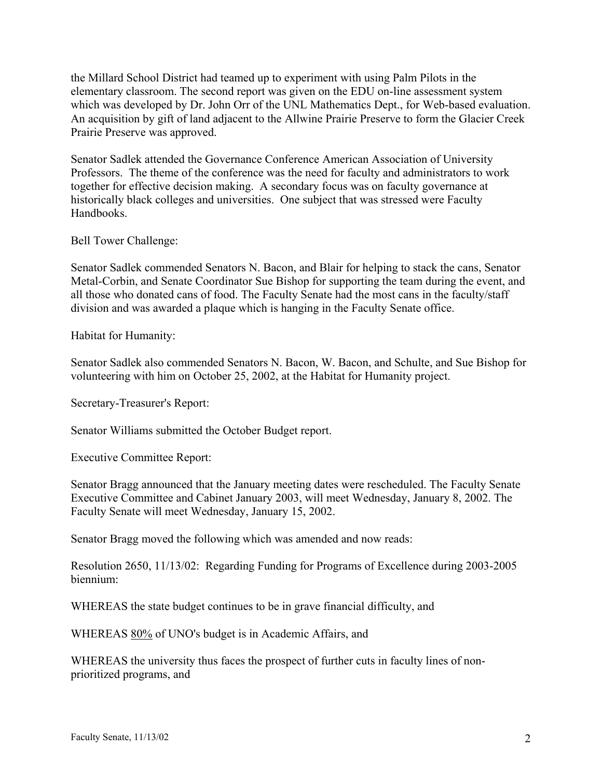the Millard School District had teamed up to experiment with using Palm Pilots in the elementary classroom. The second report was given on the EDU on-line assessment system which was developed by Dr. John Orr of the UNL Mathematics Dept., for Web-based evaluation. An acquisition by gift of land adjacent to the Allwine Prairie Preserve to form the Glacier Creek Prairie Preserve was approved.

Senator Sadlek attended the Governance Conference American Association of University Professors. The theme of the conference was the need for faculty and administrators to work together for effective decision making. A secondary focus was on faculty governance at historically black colleges and universities. One subject that was stressed were Faculty Handbooks.

Bell Tower Challenge:

Senator Sadlek commended Senators N. Bacon, and Blair for helping to stack the cans, Senator Metal-Corbin, and Senate Coordinator Sue Bishop for supporting the team during the event, and all those who donated cans of food. The Faculty Senate had the most cans in the faculty/staff division and was awarded a plaque which is hanging in the Faculty Senate office.

Habitat for Humanity:

Senator Sadlek also commended Senators N. Bacon, W. Bacon, and Schulte, and Sue Bishop for volunteering with him on October 25, 2002, at the Habitat for Humanity project.

Secretary-Treasurer's Report:

Senator Williams submitted the October Budget report.

Executive Committee Report:

Senator Bragg announced that the January meeting dates were rescheduled. The Faculty Senate Executive Committee and Cabinet January 2003, will meet Wednesday, January 8, 2002. The Faculty Senate will meet Wednesday, January 15, 2002.

Senator Bragg moved the following which was amended and now reads:

Resolution 2650, 11/13/02: Regarding Funding for Programs of Excellence during 2003-2005 biennium:

WHEREAS the state budget continues to be in grave financial difficulty, and

WHEREAS 80% of UNO's budget is in Academic Affairs, and

WHEREAS the university thus faces the prospect of further cuts in faculty lines of nonprioritized programs, and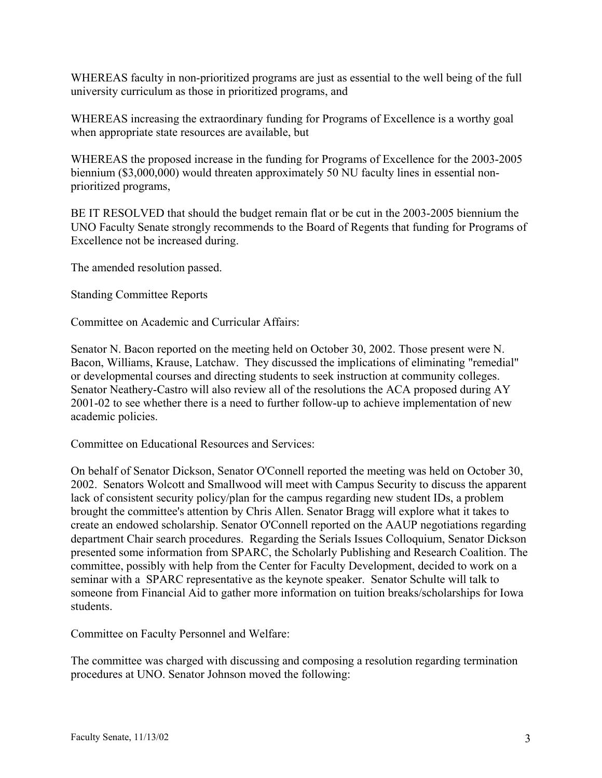WHEREAS faculty in non-prioritized programs are just as essential to the well being of the full university curriculum as those in prioritized programs, and

WHEREAS increasing the extraordinary funding for Programs of Excellence is a worthy goal when appropriate state resources are available, but

WHEREAS the proposed increase in the funding for Programs of Excellence for the 2003-2005 biennium (\$3,000,000) would threaten approximately 50 NU faculty lines in essential nonprioritized programs,

BE IT RESOLVED that should the budget remain flat or be cut in the 2003-2005 biennium the UNO Faculty Senate strongly recommends to the Board of Regents that funding for Programs of Excellence not be increased during.

The amended resolution passed.

Standing Committee Reports

Committee on Academic and Curricular Affairs:

Senator N. Bacon reported on the meeting held on October 30, 2002. Those present were N. Bacon, Williams, Krause, Latchaw. They discussed the implications of eliminating "remedial" or developmental courses and directing students to seek instruction at community colleges. Senator Neathery-Castro will also review all of the resolutions the ACA proposed during AY 2001-02 to see whether there is a need to further follow-up to achieve implementation of new academic policies.

Committee on Educational Resources and Services:

On behalf of Senator Dickson, Senator O'Connell reported the meeting was held on October 30, 2002. Senators Wolcott and Smallwood will meet with Campus Security to discuss the apparent lack of consistent security policy/plan for the campus regarding new student IDs, a problem brought the committee's attention by Chris Allen. Senator Bragg will explore what it takes to create an endowed scholarship. Senator O'Connell reported on the AAUP negotiations regarding department Chair search procedures. Regarding the Serials Issues Colloquium, Senator Dickson presented some information from SPARC, the Scholarly Publishing and Research Coalition. The committee, possibly with help from the Center for Faculty Development, decided to work on a seminar with a SPARC representative as the keynote speaker. Senator Schulte will talk to someone from Financial Aid to gather more information on tuition breaks/scholarships for Iowa students.

Committee on Faculty Personnel and Welfare:

The committee was charged with discussing and composing a resolution regarding termination procedures at UNO. Senator Johnson moved the following: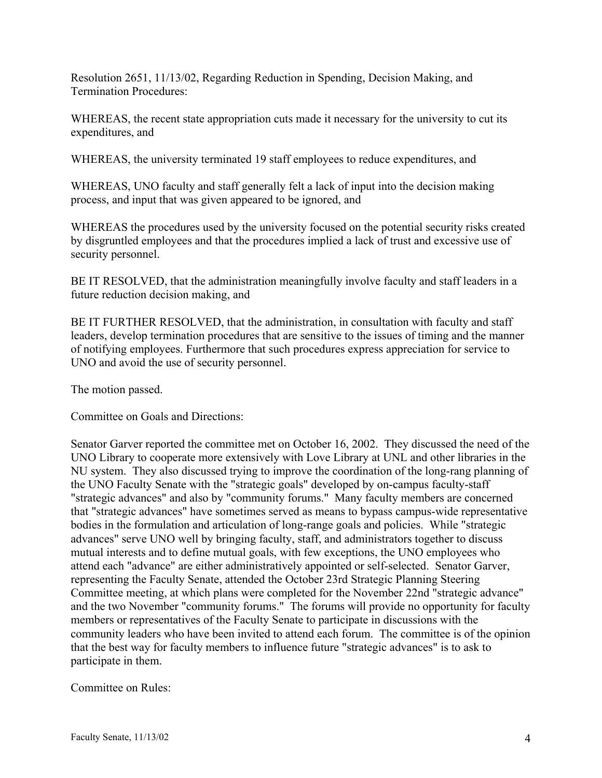Resolution 2651, 11/13/02, Regarding Reduction in Spending, Decision Making, and Termination Procedures:

WHEREAS, the recent state appropriation cuts made it necessary for the university to cut its expenditures, and

WHEREAS, the university terminated 19 staff employees to reduce expenditures, and

WHEREAS, UNO faculty and staff generally felt a lack of input into the decision making process, and input that was given appeared to be ignored, and

WHEREAS the procedures used by the university focused on the potential security risks created by disgruntled employees and that the procedures implied a lack of trust and excessive use of security personnel.

BE IT RESOLVED, that the administration meaningfully involve faculty and staff leaders in a future reduction decision making, and

BE IT FURTHER RESOLVED, that the administration, in consultation with faculty and staff leaders, develop termination procedures that are sensitive to the issues of timing and the manner of notifying employees. Furthermore that such procedures express appreciation for service to UNO and avoid the use of security personnel.

The motion passed.

Committee on Goals and Directions:

Senator Garver reported the committee met on October 16, 2002. They discussed the need of the UNO Library to cooperate more extensively with Love Library at UNL and other libraries in the NU system. They also discussed trying to improve the coordination of the long-rang planning of the UNO Faculty Senate with the "strategic goals" developed by on-campus faculty-staff "strategic advances" and also by "community forums." Many faculty members are concerned that "strategic advances" have sometimes served as means to bypass campus-wide representative bodies in the formulation and articulation of long-range goals and policies. While "strategic advances" serve UNO well by bringing faculty, staff, and administrators together to discuss mutual interests and to define mutual goals, with few exceptions, the UNO employees who attend each "advance" are either administratively appointed or self-selected. Senator Garver, representing the Faculty Senate, attended the October 23rd Strategic Planning Steering Committee meeting, at which plans were completed for the November 22nd "strategic advance" and the two November "community forums." The forums will provide no opportunity for faculty members or representatives of the Faculty Senate to participate in discussions with the community leaders who have been invited to attend each forum. The committee is of the opinion that the best way for faculty members to influence future "strategic advances" is to ask to participate in them.

Committee on Rules: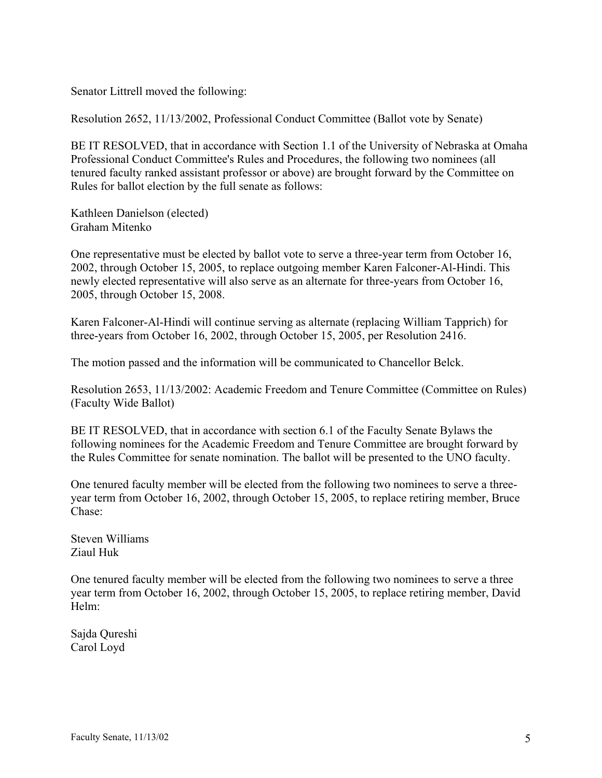Senator Littrell moved the following:

Resolution 2652, 11/13/2002, Professional Conduct Committee (Ballot vote by Senate)

BE IT RESOLVED, that in accordance with Section 1.1 of the University of Nebraska at Omaha Professional Conduct Committee's Rules and Procedures, the following two nominees (all tenured faculty ranked assistant professor or above) are brought forward by the Committee on Rules for ballot election by the full senate as follows:

Kathleen Danielson (elected) Graham Mitenko

One representative must be elected by ballot vote to serve a three-year term from October 16, 2002, through October 15, 2005, to replace outgoing member Karen Falconer-Al-Hindi. This newly elected representative will also serve as an alternate for three-years from October 16, 2005, through October 15, 2008.

Karen Falconer-Al-Hindi will continue serving as alternate (replacing William Tapprich) for three-years from October 16, 2002, through October 15, 2005, per Resolution 2416.

The motion passed and the information will be communicated to Chancellor Belck.

Resolution 2653, 11/13/2002: Academic Freedom and Tenure Committee (Committee on Rules) (Faculty Wide Ballot)

BE IT RESOLVED, that in accordance with section 6.1 of the Faculty Senate Bylaws the following nominees for the Academic Freedom and Tenure Committee are brought forward by the Rules Committee for senate nomination. The ballot will be presented to the UNO faculty.

One tenured faculty member will be elected from the following two nominees to serve a threeyear term from October 16, 2002, through October 15, 2005, to replace retiring member, Bruce Chase:

Steven Williams Ziaul Huk

One tenured faculty member will be elected from the following two nominees to serve a three year term from October 16, 2002, through October 15, 2005, to replace retiring member, David Helm:

Sajda Qureshi Carol Loyd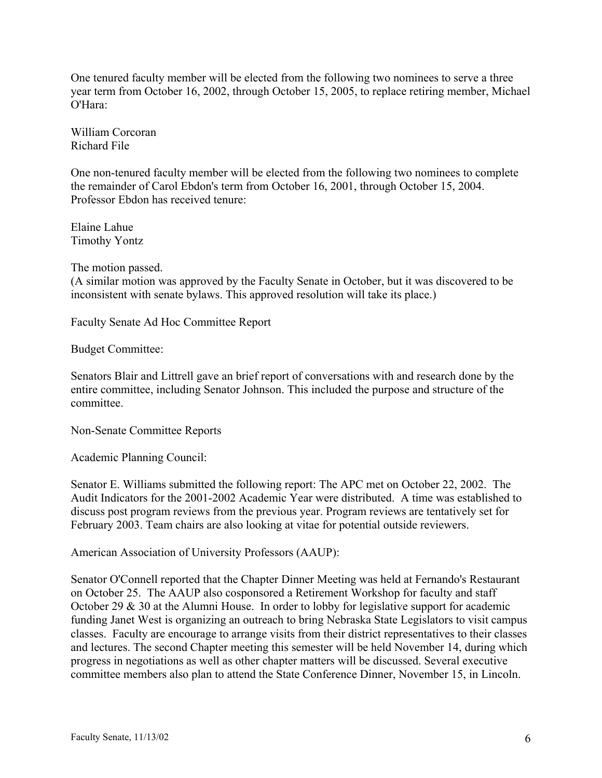One tenured faculty member will be elected from the following two nominees to serve a three year term from October 16, 2002, through October 15, 2005, to replace retiring member, Michael O'Hara:

William Corcoran Richard File

One non-tenured faculty member will be elected from the following two nominees to complete the remainder of Carol Ebdon's term from October 16, 2001, through October 15, 2004. Professor Ebdon has received tenure:

Elaine Lahue Timothy Yontz

The motion passed.

(A similar motion was approved by the Faculty Senate in October, but it was discovered to be inconsistent with senate bylaws. This approved resolution will take its place.)

Faculty Senate Ad Hoc Committee Report

Budget Committee:

Senators Blair and Littrell gave an brief report of conversations with and research done by the entire committee, including Senator Johnson. This included the purpose and structure of the committee.

Non-Senate Committee Reports

Academic Planning Council:

Senator E. Williams submitted the following report: The APC met on October 22, 2002. The Audit Indicators for the 2001-2002 Academic Year were distributed. A time was established to discuss post program reviews from the previous year. Program reviews are tentatively set for February 2003. Team chairs are also looking at vitae for potential outside reviewers.

American Association of University Professors (AAUP):

Senator O'Connell reported that the Chapter Dinner Meeting was held at Fernando's Restaurant on October 25. The AAUP also cosponsored a Retirement Workshop for faculty and staff October 29 & 30 at the Alumni House. In order to lobby for legislative support for academic funding Janet West is organizing an outreach to bring Nebraska State Legislators to visit campus classes. Faculty are encourage to arrange visits from their district representatives to their classes and lectures. The second Chapter meeting this semester will be held November 14, during which progress in negotiations as well as other chapter matters will be discussed. Several executive committee members also plan to attend the State Conference Dinner, November 15, in Lincoln.